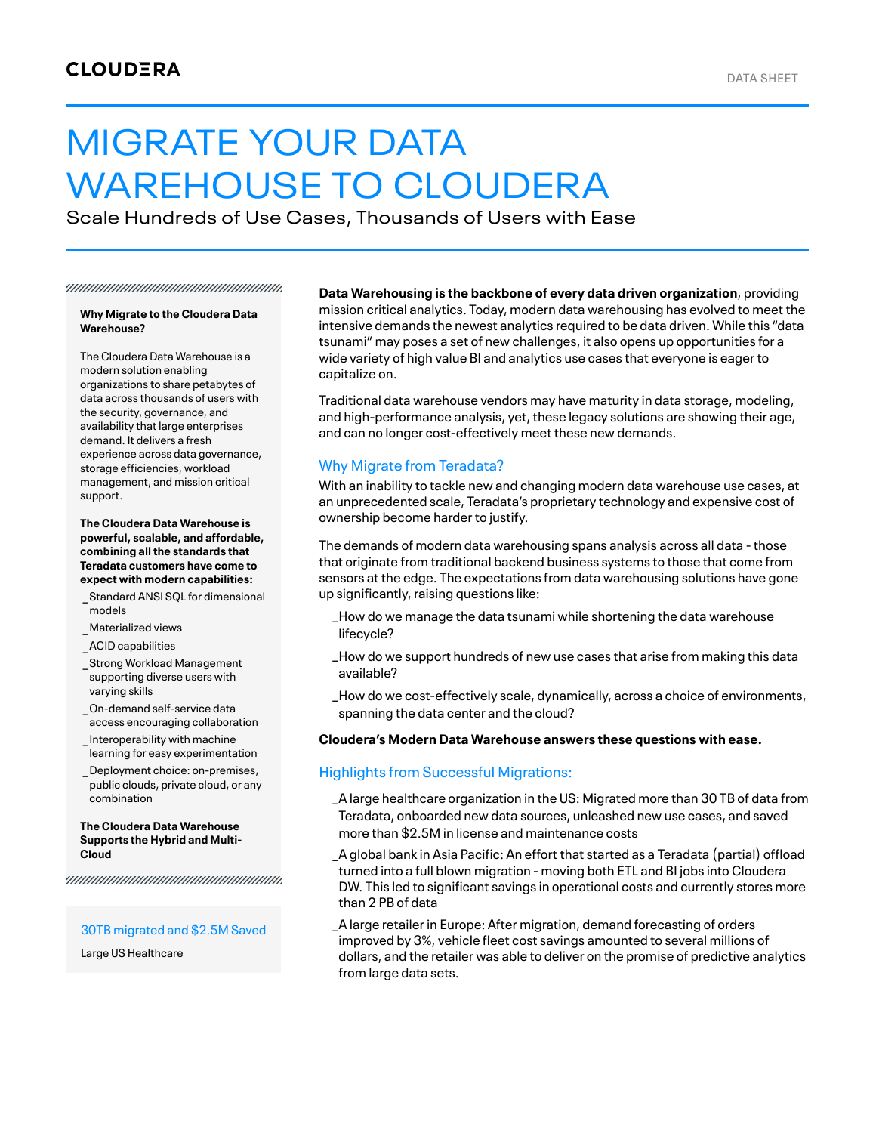# MIGRATE YOUR DATA WAREHOUSE TO CLOUDERA

Scale Hundreds of Use Cases, Thousands of Users with Ease

#### **Why Migrate to the Cloudera Data Warehouse?**

The Cloudera Data Warehouse is a modern solution enabling organizations to share petabytes of data across thousands of users with the security, governance, and availability that large enterprises demand. It delivers a fresh experience across data governance, storage efficiencies, workload management, and mission critical support.

**The Cloudera Data Warehouse is powerful, scalable, and affordable, combining allthe standards that Teradata customers have come to expect with modern capabilities:**

- Standard ANSI SQL for dimensional \_ models
- \_ Materialized views

\_ACID capabilities

- Strong Workload Management \_ supporting diverse users with varying skills
- On-demand self-service data \_ access encouraging collaboration
- Interoperability with machine \_ learning for easy experimentation
- Deployment choice: on-premises, \_ public clouds, private cloud, or any combination

#### **The Cloudera Data Warehouse Supports the Hybrid and Multi-Cloud**

#### 30TB migrated and \$2.5M Saved

Large US Healthcare

**Data Warehousing is the backbone of every data driven organization**, providing mission critical analytics. Today, modern data warehousing has evolved to meet the intensive demands the newest analytics required to be data driven. While this "data tsunami" may poses a set of new challenges, it also opens up opportunities for a wide variety of high value BI and analytics use cases that everyone is eager to capitalize on.

Traditional data warehouse vendors may have maturity in data storage, modeling, and high-performance analysis, yet, these legacy solutions are showing their age, and can no longer cost-effectively meet these new demands.

# Why Migrate from Teradata?

With an inability to tackle new and changing modern data warehouse use cases, at an unprecedented scale, Teradata's proprietary technology and expensive cost of ownership become harder to justify.

The demands of modern data warehousing spans analysis across all data - those that originate from traditional backend business systems to those that come from sensors at the edge. The expectations from data warehousing solutions have gone up significantly, raising questions like:

- How do we manage the data tsunami while shortening the data warehouse \_ lifecycle?
- How do we support hundreds of new use cases that arise from making this data \_ available?
- How do we cost-effectively scale, dynamically, across a choice of environments, \_ spanning the data center and the cloud?

## **Cloudera's Modern Data Warehouse answers these questions with ease.**

# Highlights from Successful Migrations:

A large healthcare organization in the US: Migrated more than 30 TB of data from \_ Teradata, onboarded new data sources, unleashed new use cases, and saved more than \$2.5M in license and maintenance costs

A global bank in Asia Pacific: An effort that started as a Teradata (partial) offload \_ turned into a full blown migration - moving both ETL and BI jobs into Cloudera DW. This led to significant savings in operational costs and currently stores more than 2 PB of data

A large retailer in Europe: After migration, demand forecasting of orders \_improved by 3%, vehicle fleet cost savings amounted to several millions of dollars, and the retailer was able to deliver on the promise of predictive analytics from large data sets.